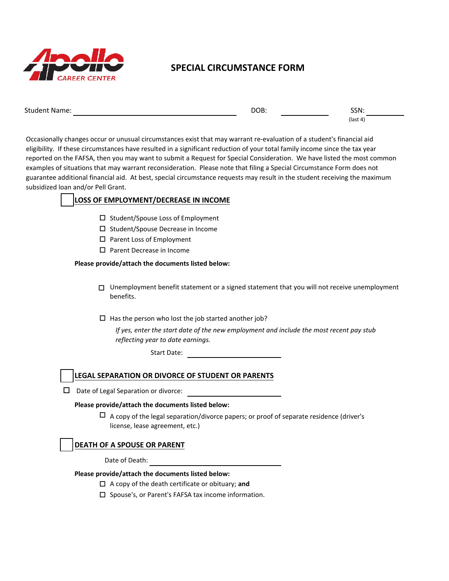

# **SPECIAL CIRCUMSTANCE FORM**

| <b>Student Name:</b> | DOB: | SSN:       |
|----------------------|------|------------|
|                      |      | $(last 4)$ |

Occasionally changes occur or unusual circumstances exist that may warrant re-evaluation of a student's financial aid eligibility. If these circumstances have resulted in a significant reduction of your total family income since the tax year reported on the FAFSA, then you may want to submit a Request for Special Consideration. We have listed the most common examples of situations that may warrant reconsideration. Please note that filing a Special Circumstance Form does not guarantee additional financial aid. At best, special circumstance requests may result in the student receiving the maximum subsidized loan and/or Pell Grant.

# **LOSS OF EMPLOYMENT/DECREASE IN INCOME**

- $\square$  Student/Spouse Loss of Employment
- $\square$  Student/Spouse Decrease in Income
- $\square$  Parent Loss of Employment
- $\square$  Parent Decrease in Income

#### **Please provide/attach the documents listed below:**

- □ Unemployment benefit statement or a signed statement that you will not receive unemployment benefits.
- $\square$  Has the person who lost the job started another job?

*If yes, enter the start date of the new employment and include the most recent pay stub reflecting year to date earnings.*

Start Date:

# **LEGAL SEPARATION OR DIVORCE OF STUDENT OR PARENTS**

 $\Box$  Date of Legal Separation or divorce:

#### **Please provide/attach the documents listed below:**

 $\Box$  A copy of the legal separation/divorce papers; or proof of separate residence (driver's license, lease agreement, etc.)

# **DEATH OF A SPOUSE OR PARENT**

Date of Death:

#### **Please provide/attach the documents listed below:**

- □ A copy of the death certificate or obituary; and
- □ Spouse's, or Parent's FAFSA tax income information.